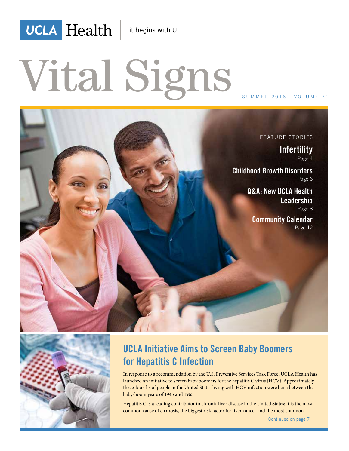

it begins with U

# Vital Signs





## **UCLA Initiative Aims to Screen Baby Boomers for Hepatitis C Infection**

In response to a recommendation by the U.S. Preventive Services Task Force, UCLA Health has launched an initiative to screen baby boomers for the hepatitis C virus (HCV). Approximately three-fourths of people in the United States living with HCV infection were born between the baby-boom years of 1945 and 1965.

Hepatitis C is a leading contributor to chronic liver disease in the United States; it is the most common cause of cirrhosis, the biggest risk factor for liver cancer and the most common

Continued on page 7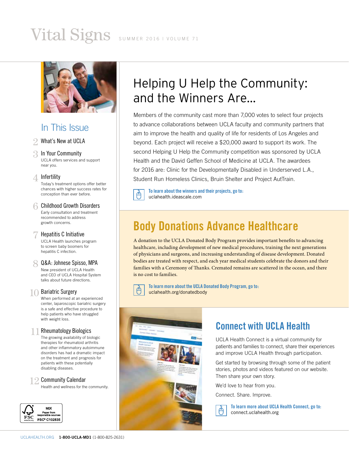## Vital Signs SUMMER 2016 | VOLUME 71



### In This Issue

#### 2 What's New at UCLA

3 In Your Community<br>UCLA offers services and support near you.

#### △ Infertilitv

Today's treatment options offer better chances with higher success rates for conception than ever before.

**6 Childhood Growth Disorders**<br>Early consultation and treatment recommended to address growth concerns.

**Hepatitis C Initiative**<br>UCLA Health launches program to screen baby boomers for hepatitis C infection.

#### 8 Q&A: Johnese Spisso, MPA<br>New president of UCLA Health and CEO of UCLA Hospital System

talks about future directions.

10 Bariatric Surgery<br>When performed at an experienced center, laparoscopic bariatric surgery is a safe and effective procedure to help patients who have struggled with weight loss.

Rheumatology Biologics<br>The growing availability of biologic therapies for rheumatoid arthritis and other inflammatory autoimmune disorders has had a dramatic impact on the treatment and prognosis for patients with these potentially disabling diseases.

2 **Community Calendar**<br>Health and wellness for the community.



## Helping U Help the Community: and the Winners Are...

Members of the community cast more than 7,000 votes to select four projects to advance collaborations between UCLA faculty and community partners that aim to improve the health and quality of life for residents of Los Angeles and beyond. Each project will receive a \$20,000 award to support its work. The second Helping U Help the Community competition was sponsored by UCLA Health and the David Geffen School of Medicine at UCLA. The awardees for 2016 are: Clinic for the Developmentally Disabled in Underserved L.A., Student Run Homeless Clinics, Bruin Shelter and Project AutTrain.

**To learn about the winners and their projects, go to:**  uclahealth.ideascale.com

## **Body Donations Advance Healthcare**

A donation to the UCLA Donated Body Program provides important benefits to advancing healthcare, including development of new medical procedures, training the next generations of physicians and surgeons, and increasing understanding of disease development. Donated bodies are treated with respect, and each year medical students celebrate the donors and their families with a Ceremony of Thanks. Cremated remains are scattered in the ocean, and there is no cost to families.

**To learn more about the UCLA Donated Body Program, go to:**  uclahealth.org/donatedbody



## **Connect with UCLA Health**

UCLA Health Connect is a virtual community for patients and families to connect, share their experiences and improve UCLA Health through participation.

Get started by browsing through some of the patient stories, photos and videos featured on our website. Then share your own story.

We'd love to hear from you.

Connect. Share. Improve.



**To learn more about UCLA Health Connect, go to:**  connect.uclahealth.org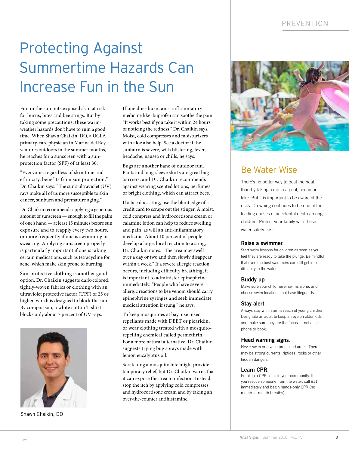## Protecting Against Summertime Hazards Can Increase Fun in the Sun

Fun in the sun puts exposed skin at risk for burns, bites and bee stings. But by taking some precautions, these warmweather hazards don't have to ruin a good time. When Shawn Chaikin, DO, a UCLA primary-care physician in Marina del Rey, ventures outdoors in the summer months, he reaches for a sunscreen with a sunprotection factor (SPF) of at least 30.

"Everyone, regardless of skin tone and ethnicity, benefits from sun protection," Dr. Chaikin says. "The sun's ultraviolet (UV) rays make all of us more susceptible to skin cancer, sunburn and premature aging."

Dr. Chaikin recommends applying a generous amount of sunscreen — enough to fill the palm of one's hand — at least 15 minutes before sun exposure and to reapply every two hours, or more frequently if one is swimming or sweating. Applying sunscreen properly is particularly important if one is taking certain medications, such as tetracycline for acne, which make skin prone to burning.

Sun-protective clothing is another good option. Dr. Chaikin suggests dark-colored, tightly-woven fabrics or clothing with an ultraviolet protective factor (UPF) of 25 or higher, which is designed to block the sun. By comparison, a white cotton T-shirt blocks only about 7 percent of UV rays.



Shawn Chaikin, DO

If one does burn, anti-inflammatory medicine like ibuprofen can soothe the pain. "It works best if you take it within 24 hours of noticing the redness," Dr. Chaikin says. Moist, cold compresses and moisturizers with aloe also help. See a doctor if the sunburn is severe, with blistering, fever, headache, nausea or chills, he says.

Bugs are another bane of outdoor fun. Pants and long-sleeve shirts are great bug barriers, and Dr. Chaikin recommends against wearing scented lotions, perfumes or bright clothing, which can attract bees.

If a bee does sting, use the blunt edge of a credit card to scrape out the stinger. A moist, cold compress and hydrocortisone cream or calamine lotion can help to reduce swelling and pain, as will an anti-inflammatory medicine. About 10 percent of people develop a large, local reaction to a sting, Dr. Chaikin notes. "The area may swell over a day or two and then slowly disappear within a week." If a severe allergic reaction occurs, including difficulty breathing, it is important to administer epinephrine immediately. "People who have severe allergic reactions to bee venom should carry epinephrine syringes and seek immediate medical attention if stung," he says.

To keep mosquitoes at bay, use insect repellants made with DEET or picaridin, or wear clothing treated with a mosquitorepelling chemical called permethrin. For a more natural alternative, Dr. Chaikin suggests trying bug sprays made with lemon eucalyptus oil.

Scratching a mosquito bite might provide temporary relief, but Dr. Chaikin warns that it can expose the area to infection. Instead, stop the itch by applying cold compresses and hydrocortisone cream and by taking an over-the-counter antihistamine.



## Be Water Wise

There's no better way to beat the heat than by taking a dip in a pool, ocean or lake. But it is important to be aware of the risks. Drowning continues to be one of the leading causes of accidental death among children. Protect your family with these water safety tips:

#### **Raise a swimmer**.

Start swim lessons for children as soon as you feel they are ready to take the plunge. Be mindful that even the best swimmers can still get into difficulty in the water.

#### **Buddy up**.

Make sure your child never swims alone, and choose swim locations that have lifeguards.

#### **Stay alert**.

Always stay within arm's reach of young children. Designate an adult to keep an eye on older kids and make sure they are the focus — not a cell phone or book.

#### **Heed warning signs**.

Never swim or dive in prohibited areas. There may be strong currents, riptides, rocks or other hidden dangers.

#### **Learn CPR**.

Enroll in a CPR class in your community. If you rescue someone from the water, call 911 immediately and begin hands-only CPR (no mouth-to-mouth breaths).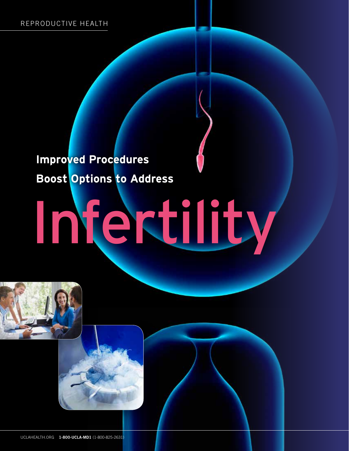## **Improved Procedures Boost Options to Address**

# Infertility



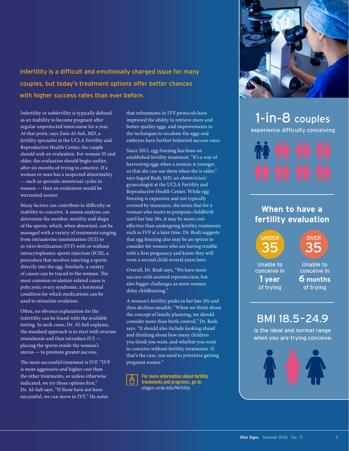Infertility is a difficult and emotionally charged issue for many couples, but today's treatment options offer better chances with higher success rates than ever before.

Infertility or subfertility is typically defined as an inability to become pregnant after regular unprotected intercourse for a year. At that point, says Zain Al-Safi, MD, a fertility specialist at the UCLA Fertility and Reproductive Health Center, the couple should seek an evaluation. For women 35 and older, the evaluation should begin earlier, after six months of trying to conceive. If a woman or man has a suspected abnormality — such as sporadic menstrual cycles in women — then an evaluation would be warranted sooner.

Many factors can contribute to difficulty or inability to conceive. A semen analysis can determine the number, motility and shape of the sperm, which, when abnormal, can be managed with a variety of treatments ranging from intrauterine insemination (IUI) to in vitro fertilization (IVF) with or without intracytoplasmic sperm injection (ICSI), a procedure that involves injecting a sperm directly into the egg. Similarly, a variety of causes can be traced to the woman. The most common ovulation-related cause is polycystic ovary syndrome, a hormonal condition for which medications can be used to stimulate ovulation.

Often, no obvious explanation for the infertility can be found with the available testing. In such cases, Dr. Al-Safi explains, the standard approach is to start with ovarian stimulation and then introduce IUI placing the sperm inside the woman's uterus — to promote greater success.

The most successful treatment is IVF. "IVF is more aggressive and higher cost than the other treatments, so unless otherwise indicated, we try those options first," Dr. Al-Safi says. "If those have not been successful, we can move to IVF" He notes

that refinements in IVF protocols have improved the ability to retrieve more and better-quality eggs, and improvements in the techniques to incubate the eggs and embryos have further bolstered success rates.

Since 2012, egg freezing has been an established fertility treatment. "It's a way of harvesting eggs when a woman is younger, so that she can use them when she is older," says Ingrid Rodi, MD, an obstetrician/ gynecologist at the UCLA Fertility and Reproductive Health Center. While egg freezing is expensive and not typically covered by insurance, she notes that for a woman who wants to postpone childbirth until her late 30s, it may be more costeffective than undergoing fertility treatments such as IVF at a later time. Dr. Rodi suggests that egg freezing also may be an option to consider for women who are having trouble with a first pregnancy and know they will want a second child several years later.

Overall, Dr. Rodi says, "We have more success with assisted reproduction, but also bigger challenges as more women delay childbearing."

A woman's fertility peaks in her late 20s and then declines steadily. "When we think about the concept of family planning, we should consider more than birth control," Dr. Rodi says. "It should also include looking ahead and thinking about how many children you think you want, and whether you want to conceive without fertility treatments. If that's the case, you need to prioritize getting pregnant sooner."

**For more information about fertility treatments and programs, go to:**  obgyn.ucla.edu/fertility



## 1-in-8 couples experience difficulty conceiving



### **When to have a fertility evaluation**





Unable to conceive in **1 year** of trying

#### Unable to conceive in **6 months** of trying

## BMI 18.5–24.9

is the ideal and normal range when you are trying conceive.

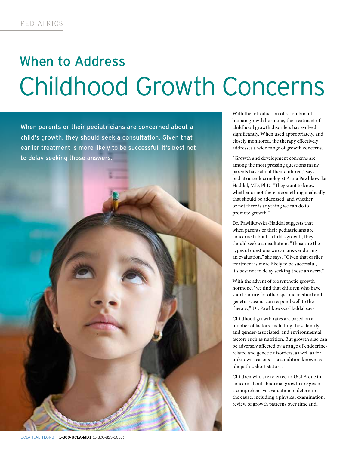# When to Address Childhood Growth Concerns

When parents or their pediatricians are concerned about a child's growth, they should seek a consultation. Given that earlier treatment is more likely to be successful, it's best not to delay seeking those answers.

UCLAHEALTH.ORG **1-800-UCLA-MD1** (1-800-825-2631)

With the introduction of recombinant human growth hormone, the treatment of childhood growth disorders has evolved significantly. When used appropriately, and closely monitored, the therapy effectively addresses a wide range of growth concerns.

"Growth and development concerns are among the most pressing questions many parents have about their children," says pediatric endocrinologist Anna Pawlikowska-Haddal, MD, PhD. "They want to know whether or not there is something medically that should be addressed, and whether or not there is anything we can do to promote growth."

Dr. Pawlikowska-Haddal suggests that when parents or their pediatricians are concerned about a child's growth, they should seek a consultation. "Those are the types of questions we can answer during an evaluation," she says. "Given that earlier treatment is more likely to be successful, it's best not to delay seeking those answers."

With the advent of biosynthetic growth hormone, "we find that children who have short stature for other specific medical and genetic reasons can respond well to the therapy," Dr. Pawlikowska-Haddal says.

Childhood growth rates are based on a number of factors, including those familyand gender-associated, and environmental factors such as nutrition. But growth also can be adversely affected by a range of endocrinerelated and genetic disorders, as well as for unknown reasons — a condition known as idiopathic short stature.

Children who are referred to UCLA due to concern about abnormal growth are given a comprehensive evaluation to determine the cause, including a physical examination, review of growth patterns over time and,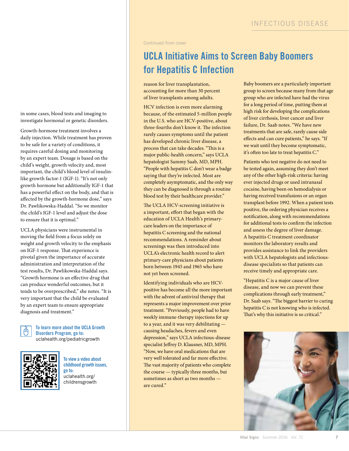Continued from cover

## **UCLA Initiative Aims to Screen Baby Boomers for Hepatitis C Infection**

reason for liver transplantation, accounting for more than 30 percent of liver transplants among adults.

HCV infection is even more alarming because, of the estimated 5-million people in the U.S. who are HCV-positive, about three-fourths don't know it. The infection rarely causes symptoms until the patient has developed chronic liver disease, a process that can take decades. "This is a major public-health concern," says UCLA hepatologist Sammy Saab, MD, MPH. "People with hepatitis C don't wear a badge saying that they're infected. Most are completely asymptomatic, and the only way they can be diagnosed is through a routine blood test by their healthcare provider."

The UCLA HCV-screening initiative is a important, effort that began with the education of UCLA Health's primarycare leaders on the importance of hepatitis C screening and the national recommendations. A reminder about screenings was then introduced into UCLA's electronic health record to alert primary-care physicians about patients born between 1945 and 1965 who have not yet been screened.

Identifying individuals who are HCVpositive has become all the more important with the advent of antiviral therapy that represents a major improvement over prior treatment. "Previously, people had to have weekly immune-therapy injections for up to a year, and it was very debilitating causing headaches, fevers and even depression," says UCLA infectious-disease specialist Jeffrey D. Klausner, MD, MPH. "Now, we have oral medications that are very well tolerated and far more effective. The vast majority of patients who complete the course — typically three months, but sometimes as short as two months are cured."

Baby boomers are a particularly important group to screen because many from that age group who are infected have had the virus for a long period of time, putting them at high risk for developing the complications of liver cirrhosis, liver cancer and liver failure, Dr. Saab notes. "We have new treatments that are safe, rarely cause side effects and can cure patients," he says. "If we wait until they become symptomatic, it's often too late to treat hepatitis C."

Patients who test negative do not need to be tested again, assuming they don't meet any of the other high-risk criteria: having ever injected drugs or used intranasal cocaine, having been on hemodialysis or having received transfusions or an organ transplant before 1992. When a patient tests positive, the ordering physician receives a notification, along with recommendations for additional tests to confirm the infection and assess the degree of liver damage. A hepatitis C treatment coordinator monitors the laboratory results and provides assistance to link the providers with UCLA hepatologists and infectiousdisease specialists so that patients can receive timely and appropriate care.

"Hepatitis C is a major cause of liver disease, and now we can prevent these complications through early treatment," Dr. Saab says. "The biggest barrier to curing hepatitis C is not knowing who is infected. That's why this initiative is so critical."



in some cases, blood tests and imaging to investigate hormonal or genetic disorders.

Growth-hormone treatment involves a daily injection. While treatment has proven to be safe for a variety of conditions, it requires careful dosing and monitoring by an expert team. Dosage is based on the child's weight, growth velocity and, most important, the child's blood level of insulinlike growth factor-1 (IGF-1). "It's not only growth hormone but additionally IGF-1 that has a powerful effect on the body, and that is affected by the growth-hormone dose," says Dr. Pawlikowska-Haddal. "So we monitor the child's IGF-1 level and adjust the dose to ensure that it is optimal."

UCLA physicians were instrumental in moving the field from a focus solely on weight and growth velocity to the emphasis on IGF-1 response. That experience is pivotal given the importance of accurate administration and interpretation of the test results, Dr. Pawlikowska-Haddal says. "Growth hormone is an effective drug that can produce wonderful outcomes, but it tends to be overprescribed," she notes. "It is very important that the child be evaluated by an expert team to ensure appropriate diagnosis and treatment."

> **To learn more about the UCLA Growth Disorders Program, go to:**  uclahealth.org/pediatricgrowth



**To view a video about childhood growth issues, go to:**  uclahealth.org/ childrensgrowth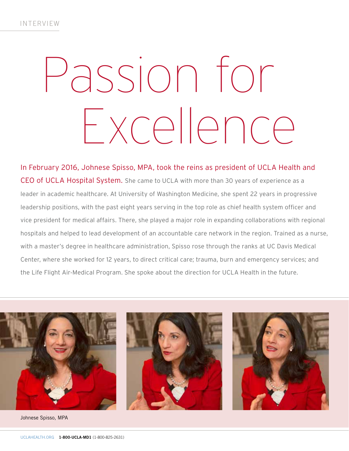# Passion for Excellence

In February 2016, Johnese Spisso, MPA, took the reins as president of UCLA Health and CEO of UCLA Hospital System. She came to UCLA with more than 30 years of experience as a leader in academic healthcare. At University of Washington Medicine, she spent 22 years in progressive leadership positions, with the past eight years serving in the top role as chief health system officer and vice president for medical affairs. There, she played a major role in expanding collaborations with regional hospitals and helped to lead development of an accountable care network in the region. Trained as a nurse, with a master's degree in healthcare administration, Spisso rose through the ranks at UC Davis Medical Center, where she worked for 12 years, to direct critical care; trauma, burn and emergency services; and the Life Flight Air-Medical Program. She spoke about the direction for UCLA Health in the future.



Johnese Spisso, MPA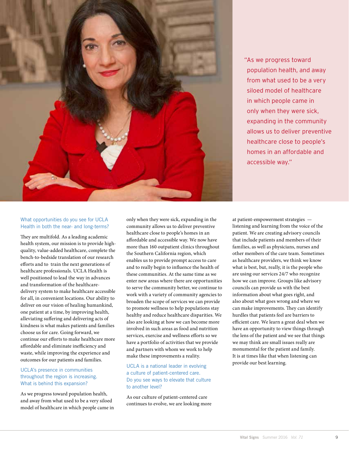

"As we progress toward population health, and away from what used to be a very siloed model of healthcare in which people came in only when they were sick, expanding in the community allows us to deliver preventive healthcare close to people's homes in an affordable and accessible way."

#### What opportunities do you see for UCLA Health in both the near- and long-terms?

They are multifold. As a leading academic health system, our mission is to provide highquality, value-added healthcare, complete the bench-to-bedside translation of our research efforts and to train the next generations of healthcare professionals. UCLA Health is well positioned to lead the way in advances and transformation of the healthcaredelivery system to make healthcare accessible for all, in convenient locations. Our ability to deliver on our vision of healing humankind, one patient at a time, by improving health, alleviating suffering and delivering acts of kindness is what makes patients and families choose us for care. Going forward, we continue our efforts to make healthcare more affordable and eliminate inefficiency and waste, while improving the experience and outcomes for our patients and families.

#### UCLA's presence in communities throughout the region is increasing. What is behind this expansion?

As we progress toward population health, and away from what used to be a very siloed model of healthcare in which people came in only when they were sick, expanding in the community allows us to deliver preventive healthcare close to people's homes in an affordable and accessible way. We now have more than 160 outpatient clinics throughout the Southern California region, which enables us to provide prompt access to care and to really begin to influence the health of these communities. At the same time as we enter new areas where there are opportunities to serve the community better, we continue to work with a variety of community agencies to broaden the scope of services we can provide to promote wellness to help populations stay healthy and reduce healthcare disparities. We also are looking at how we can become more involved in such areas as food and nutrition services, exercise and wellness efforts so we have a portfolio of activities that we provide and partners with whom we work to help make these improvements a reality.

UCLA is a national leader in evolving a culture of patient-centered care. Do you see ways to elevate that culture to another level?

As our culture of patient-centered care continues to evolve, we are looking more at patient-empowerment strategies listening and learning from the voice of the patient. We are creating advisory councils that include patients and members of their families, as well as physicians, nurses and other members of the care team. Sometimes as healthcare providers, we think we know what is best, but, really, it is the people who are using our services 24/7 who recognize how we can improve. Groups like advisory councils can provide us with the best information about what goes right, and also about what goes wrong and where we can make improvements. They can identify hurdles that patients feel are barriers to efficient care. We learn a great deal when we have an opportunity to view things through the lens of the patient and we see that things we may think are small issues really are monumental for the patient and family. It is at times like that when listening can provide our best learning.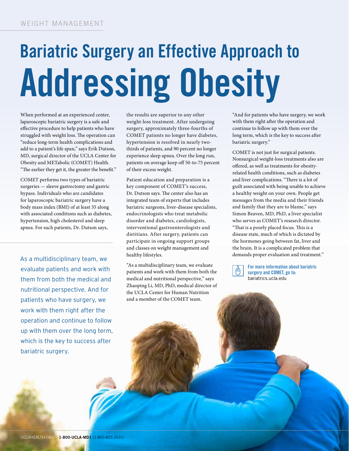# **Bariatric Surgery an Effective Approach to Addressing Obesity**

When performed at an experienced center, laparoscopic bariatric surgery is a safe and effective procedure to help patients who have struggled with weight loss. The operation can "reduce long-term health complications and add to a patient's life span," says Erik Dutson, MD, surgical director of the UCLA Center for Obesity and METabolic (COMET) Health. "The earlier they get it, the greater the benefit."

COMET performs two types of bariatric surgeries — sleeve gastrectomy and gastric bypass. Individuals who are candidates for laparoscopic bariatric surgery have a body mass index (BMI) of at least 35 along with associated conditions such as diabetes, hypertension, high cholesterol and sleep apnea. For such patients, Dr. Dutson says,

As a multidisciplinary team, we evaluate patients and work with them from both the medical and nutritional perspective. And for patients who have surgery, we work with them right after the operation and continue to follow up with them over the long term, which is the key to success after bariatric surgery.

the results are superior to any other weight-loss treatment. After undergoing surgery, approximately three-fourths of COMET patients no longer have diabetes, hypertension is resolved in nearly twothirds of patients, and 90 percent no longer experience sleep apnea. Over the long run, patients on average keep off 50-to-75 percent of their excess weight.

Patient education and preparation is a key component of COMET's success, Dr. Dutson says. The center also has an integrated team of experts that includes bariatric surgeons, liver-disease specialists, endocrinologists who treat metabolic disorder and diabetes, cardiologists, interventional gastroenterologists and dietitians. After surgery, patients can participate in ongoing support groups and classes on weight management and healthy lifestyles.

"As a multidisciplinary team, we evaluate patients and work with them from both the medical and nutritional perspective," says Zhaoping Li, MD, PhD, medical director of the UCLA Center for Human Nutrition and a member of the COMET team.

"And for patients who have surgery, we work with them right after the operation and continue to follow up with them over the long term, which is the key to success after bariatric surgery."

COMET is not just for surgical patients. Nonsurgical weight-loss treatments also are offered, as well as treatments for obesityrelated health conditions, such as diabetes and liver complications. "There is a lot of guilt associated with being unable to achieve a healthy weight on your own. People get messages from the media and their friends and family that they are to blame," says Simon Beaven, MD, PhD, a liver specialist who serves as COMET's research director. "That is a poorly placed focus. This is a disease state, much of which is dictated by the hormones going between fat, liver and the brain. It is a complicated problem that demands proper evaluation and treatment."



**For more information about bariatric surgery and COMET, go to:**  bariatrics.ucla.edu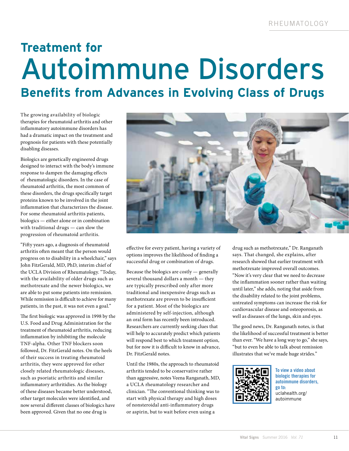## **Treatment for**  Autoimmune Disorders **Benefits from Advances in Evolving Class of Drugs**

The growing availability of biologic therapies for rheumatoid arthritis and other inflammatory autoimmune disorders has had a dramatic impact on the treatment and prognosis for patients with these potentially disabling diseases.

Biologics are genetically engineered drugs designed to interact with the body's immune response to dampen the damaging effects of rheumatologic disorders. In the case of rheumatoid arthritis, the most common of these disorders, the drugs specifically target proteins known to be involved in the joint inflammation that characterizes the disease. For some rheumatoid arthritis patients, biologics — either alone or in combination with traditional drugs — can slow the progression of rheumatoid arthritis.

"Fifty years ago, a diagnosis of rheumatoid arthritis often meant that the person would progress on to disability in a wheelchair," says John FitzGerald, MD, PhD, interim chief of the UCLA Division of Rheumatology. "Today, with the availability of older drugs such as methotrexate and the newer biologics, we are able to put some patients into remission. While remission is difficult to achieve for many patients, in the past, it was not even a goal."

The first biologic was approved in 1998 by the U.S. Food and Drug Administration for the treatment of rheumatoid arthritis, reducing inflammation by inhibiting the molecule TNF-alpha. Other TNF blockers soon followed, Dr. FitzGerald notes. On the heels of their success in treating rheumatoid arthritis, they were approved for other closely related rheumatologic diseases, such as psoriatic arthritis and similar inflammatory arthritidies. As the biology of these diseases became better understood, other target molecules were identified, and now several different classes of biologics have been approved. Given that no one drug is



effective for every patient, having a variety of options improves the likelihood of finding a successful drug or combination of drugs.

Because the biologics are costly — generally several thousand dollars a month — they are typically prescribed only after more traditional and inexpensive drugs such as methotrexate are proven to be insufficient for a patient. Most of the biologics are administered by self-injection, although an oral form has recently been introduced. Researchers are currently seeking clues that will help to accurately predict which patients will respond best to which treatment option, but for now it is difficult to know in advance, Dr. FitzGerald notes.

Until the 1980s, the approach to rheumatoid arthritis tended to be conservative rather than aggressive, notes Veena Ranganath, MD, a UCLA rheumatology researcher and clinician. "The conventional thinking was to start with physical therapy and high doses of nonsteroidal anti-inflammatory drugs or aspirin, but to wait before even using a

drug such as methotrexate," Dr. Ranganath says. That changed, she explains, after research showed that earlier treatment with methotrexate improved overall outcomes. "Now it's very clear that we need to decrease the inflammation sooner rather than waiting until later," she adds, noting that aside from the disability related to the joint problems, untreated symptoms can increase the risk for cardiovascular disease and osteoporosis, as well as diseases of the lungs, skin and eyes.

The good news, Dr. Ranganath notes, is that the likelihood of successful treatment is better than ever. "We have a long way to go," she says, "but to even be able to talk about remission illustrates that we've made huge strides."



**To view a video about biologic therapies for autoimmune disorders, go to:**  uclahealth.org/ autoimmune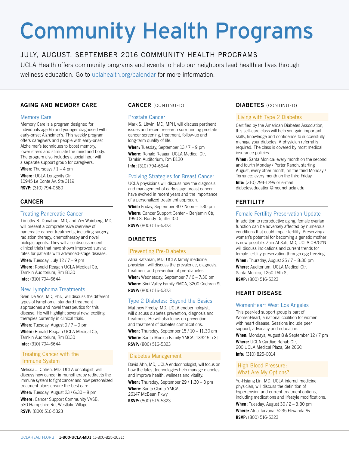# Community Health Programs

#### JULY, AUGUST, SEPTEMBER 2016 COMMUNITY HEALTH PROGRAMS

UCLA Health offers community programs and events to help our neighbors lead healthier lives through wellness education. Go to uclahealth.org/calendar for more information.

#### **AGING AND MEMORY CARE**

#### Memory Care

Memory Care is a program designed for individuals age 65 and younger diagnosed with early-onset Alzheimer's. This weekly program offers caregivers and people with early-onset Alzheimer's techniques to boost memory, lower stress and stimulate the mind and body. The program also includes a social hour with a separate support group for caregivers.

When: Thursdays /  $1 - 4$  pm **Where:** UCLA Longevity Ctr, 10945 Le Conte Av, Ste 3119 **RSVP:** (310) 794-0680

#### **CANCER**

#### Treating Pancreatic Cancer

Timothy R. Donahue, MD, and Zev Wainberg, MD, will present a comprehensive overview of pancreatic cancer treatments, including surgery, radiation therapy, chemotherapy and novel biologic agents. They will also discuss recent clinical trials that have shown improved survival rates for patients with advanced-stage disease.

**When:** Tuesday, July 12 / 7 – 9 pm

**Where:** Ronald Reagan UCLA Medical Ctr, Tamkin Auditorium, Rm B130 **Info:** (310) 794-6644

#### New Lymphoma Treatments

Sven De Vos, MD, PhD, will discuss the different types of lymphoma, standard treatment approaches and novel therapeutics for this disease. He will highlight several new, exciting therapies currently in clinical trials.

When: Tuesday, August 9 / 7 - 9 pm

**Where:** Ronald Reagan UCLA Medical Ctr, Tamkin Auditorium, Rm B130 **Info:** (310) 794-6644

#### Treating Cancer with the Immune System

Melissa J. Cohen, MD, UCLA oncologist, will discuss how cancer immunotherapy redirects the immune system to fight cancer and how personalized treatment plans ensure the best care.

**When:** Tuesday, August 23 / 6:30 – 8 pm

**Where:** Cancer Support Community VVSB, 530 Hampshire Rd, Westlake Village **RSVP:** (800) 516-5323

#### **CANCER** (CONTINUED)

#### Prostate Cancer

Mark S. Litwin, MD, MPH, will discuss pertinent issues and recent research surrounding prostate cancer screening, treatment, follow-up and long-term quality of life.

**When:** Tuesday, September 13 / 7 – 9 pm **Where:** Ronald Reagan UCLA Medical Ctr, Tamkin Auditorium, Rm B130 **Info:** (310) 794-6644

#### Evolving Strategies for Breast Cancer

UCLA physicians will discuss how the diagnosis and management of early-stage breast cancer have evolved in recent years and the importance of a personalized treatment approach.

**When:** Friday, September 30 / Noon – 1:30 pm **Where:** Cancer Support Center – Benjamin Ctr, 1990 S. Bundy Dr, Ste 100 **RSVP:** (800) 516-5323

#### **DIABETES**

#### Preventing Pre-Diabetes

Alina Katsman, MD, UCLA family medicine physician, will discuss the prevalence, diagnosis, treatment and prevention of pre-diabetes.

**When:** Wednesday, September 7 / 6 – 7:30 pm **Where:** Simi Valley Family YMCA, 3200 Cochran St **RSVP:** (800) 516-5323

#### Type 2 Diabetes: Beyond the Basics

Matthew Freeby, MD, UCLA endocrinologist, will discuss diabetes prevention, diagnosis and treatment. He will also focus on prevention and treatment of diabetes complications.

**When:** Thursday, September 15 / 10 – 11:30 am **Where:** Santa Monica Family YMCA, 1332 6th St **RSVP:** (800) 516-5323

#### Diabetes Management

David Ahn, MD, UCLA endocrinologist, will focus on how the latest technologies help manage diabetes and improve health, wellness and vitality. **When:** Thursday, September 29 / 1:30 – 3 pm

**Where:** Santa Clarita YMCA, 26147 McBean Pkwy **RSVP:** (800) 516-5323

#### **DIABETES** (CONTINUED)

#### Living with Type 2 Diabetes

Certified by the American Diabetes Association, this self-care class will help you gain important skills, knowledge and confidence to successfully manage your diabetes. A physician referral is required. The class is covered by most medical insurance policies.

**When:** Santa Monica: every month on the second and fourth Monday / Porter Ranch: starting August, every other month, on the third Monday / Torrance: every month on the third Friday **Info:** (310) 794-1299 or e-mail diabeteseducation@mednet.ucla.edu

#### **FERTILITY**

#### Female Fertility Preservation Update

In addition to reproductive aging, female ovarian function can be adversely affected by numerous conditions that could impair fertility. Preserving a woman's potential for becoming a genetic mother is now possible. Zain Al-Safi, MD, UCLA OB/GYN will discuss indications and current trends for female fertility preservation through egg freezing.

**When:** Thursday, August 25 / 7 – 8:30 pm

**Where:** Auditorium, UCLA Medical Ctr, Santa Monica, 1250 16th St **RSVP:** (800) 516-5323

#### **HEART DISEASE**

#### WomenHeart West Los Angeles

This peer-led support group is part of WomenHeart, a national coalition for women with heart disease. Sessions include peer support, advocacy and education.

**When:** Mondays, August 8 & September 12 / 7 pm **Where:** UCLA Cardiac Rehab Ctr, 200 UCLA Medical Plaza, Ste 206C **Info:** (310) 825-0014

#### High Blood Pressure: What Are My Options?

Yu-Hsiang Lin, MD, UCLA internal medicine physician, will discuss the definition of hypertension and current treatment options, including medications and lifestyle modifications.

**When:** Tuesday, August 30 / 2 – 3:30 pm **Where:** Atria Tarzana, 5235 Etiwanda Av

**RSVP:** (800) 516-5323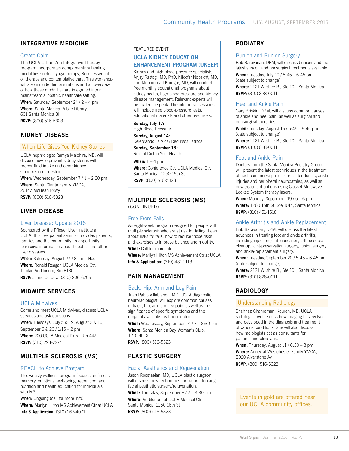#### **INTEGRATIVE MEDICINE**

#### Create Calm

The UCLA Urban Zen Integrative Therapy program incorporates complimentary healing modalities such as yoga therapy, Reiki, essential oil therapy and contemplative care. This workshop will also include demonstrations and an overview of how these modalities are integrated into a mainstream allopathic healthcare setting.

**When:** Saturday, September 24 / 2 – 4 pm **Where:** Santa Monica Public Library, 601 Santa Monica Bl **RSVP:** (800) 516-5323

#### **KIDNEY DISEASE**

#### When Life Gives You Kidney Stones

UCLA nephrologist Ramya Malchira, MD, will discuss how to prevent kidney stones with proper fluid intake and other kidney stone-related questions.

When: Wednesday, September 7 / 1 - 2:30 pm

**Where:** Santa Clarita Family YMCA, 26147 McBean Pkwy **RSVP:** (800) 516-5323

#### **LIVER DISEASE**

#### Liver Disease: Update 2016

Sponsored by the Pfleger Liver Institute at UCLA, this free patient seminar provides patients, families and the community an opportunity to receive information about hepatitis and other liver diseases.

**When:** Saturday, August 27 / 8 am – Noon **Where:** Ronald Reagan UCLA Medical Ctr, Tamkin Auditorium, Rm B130 **RSVP:** Jamie Cordova (310) 206-6705

#### **MIDWIFE SERVICES**

#### UCLA Midwives

Come and meet UCLA Midwives, discuss UCLA services and ask questions.

**When:** Tuesdays, July 5 & 19, August 2 & 16, September 6 & 20 / 1:15 – 2 pm **Where:** 200 UCLA Medical Plaza, Rm 447 **RSVP:** (310) 794-7274

#### **MULTIPLE SCLEROSIS (MS)**

#### REACH to Achieve Program

This weekly wellness program focuses on fitness, memory, emotional well-being, recreation, and nutrition and health education for individuals with MS.

**When:** Ongoing (call for more info) **Where:** Marilyn Hilton MS Achievement Ctr at UCLA **Info & Application:** (310) 267-4071

#### FEATURED EVENT

#### **UCLA KIDNEY EDUCATION ENHANCEMENT PROGRAM (UKEEP)**

Kidney and high blood pressure specialists Anjay Rastogi, MD, PhD, Niloofar Nobakht, MD, and Mohammad Kamgar, MD, will conduct free monthly educational programs about kidney health, high blood pressure and kidney disease management. Relevant experts will be invited to speak. The interactive sessions will include free blood-pressure tests, educational materials and other resources.

**Sunday, July 17:**  High Blood Pressure

**Sunday, August 14:**  Celebrando La Vida: Recursos Latinos

**Sunday, September 18:**  Role of Diet in Your Health

**When:** 1 – 4 pm **Where:** Conference Ctr, UCLA Medical Ctr, Santa Monica, 1250 16th St **RSVP:** (800) 516-5323

#### **MULTIPLE SCLEROSIS (MS)**  (CONTINUED)

#### Free From Falls

An eight-week program designed for people with multiple sclerosis who are at risk for falling. Learn about risks for falls, how to reduce those risks and exercises to improve balance and mobility.

**When:** Call for more info

**Where:** Marilyn Hilton MS Achievement Ctr at UCLA **Info & Application:** (310) 481-1113

#### **PAIN MANAGEMENT**

#### Back, Hip, Arm and Leg Pain

Juan Pablo Villablanca, MD, UCLA diagnostic neuroradiologist, will explore common causes of back, hip, arm and leg pain, as well as the significance of specific symptoms and the range of available treatment options.

**When:** Wednesday, September 14 / 7 – 8:30 pm **Where:** Santa Monica Bay Woman's Club, 1210 4th St **RSVP:** (800) 516-5323

#### **PLASTIC SURGERY**

#### Facial Aesthetics and Rejuvenation

Jason Roostaeian, MD, UCLA plastic surgeon, will discuss new techniques for natural-looking facial aesthetic surgery/rejuvenation.

When: Thursday, September 8 / 7 - 8:30 pm **Where:** Auditorium at UCLA Medical Ctr, Santa Monica, 1250 16th St **RSVP:** (800) 516-5323

#### **PODIATRY**

#### Bunion and Bunion Surgery

Bob Baravarian, DPM, will discuss bunions and the latest surgical and nonsurgical treatments available. **When:** Tuesday, July 19 / 5:45 – 6:45 pm (date subject to change) **Where:** 2121 Wilshire Bl, Ste 101, Santa Monica **RSVP:** (310) 828-0011

#### Heel and Ankle Pain

Gary Briskin, DPM, will discuss common causes of ankle and heel pain, as well as surgical and nonsurgical therapies.

**When:** Tuesday, August 16 / 5:45 – 6:45 pm (date subject to change) **Where:** 2121 Wilshire Bl, Ste 101, Santa Monica **RSVP:** (310) 828-0011

#### Foot and Ankle Pain

Doctors from the Santa Monica Podiatry Group will present the latest techniques in the treatment of heel pain, nerve pain, arthritis, tendonitis, ankle injuries and peripheral neuropathies, as well as new treatment options using Class 4 Multiwave Locked System therapy lasers.

**When:** Monday, September 19 / 5 – 6 pm **Where:** 1260 15th St, Ste 1014, Santa Monica **RSVP:** (310) 451-1618

#### Ankle Arthritis and Ankle Replacement

Bob Baravarian, DPM, will discuss the latest advances in treating foot and ankle arthritis, including injection joint lubrication, arthroscopic cleanup, joint-preservation surgery, fusion surgery and ankle-replacement surgery.

**When:** Tuesday, September 20 / 5:45 – 6:45 pm (date subject to change)

**Where:** 2121 Wilshire Bl, Ste 101, Santa Monica **RSVP:** (310) 828-0011

#### **RADIOLOGY**

#### Understanding Radiology

Shahnaz Ghahremani Koureh, MD, UCLA radiologist, will discuss how imaging has evolved and developed in the diagnosis and treatment of various conditions. She will also discuss how radiologists act as consultants for patients and clinicians.

**When:** Thursday, August 11 / 6:30 – 8 pm **Where:** Annex at Westchester Family YMCA, 8020 Alverstone Av **RSVP:** (800) 516-5323

Events in gold are offered near our UCLA community offices.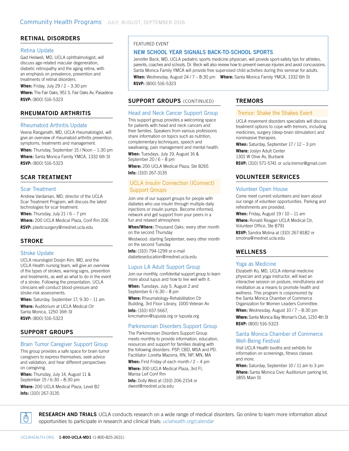#### **RETINAL DISORDERS**

#### Retina Update

Gad Heilweil, MD, UCLA ophthalmologist, will discuss age-related macular degeneration, diabetic retinopathy and the aging retina, with an emphasis on prevalence, prevention and treatments of retinal disorders.

**When:** Friday, July 29 / 2 – 3:30 pm

**Where:** The Fair Oaks, 951 S. Fair Oaks Av, Pasadena **RSVP:** (800) 516-5323

#### **RHEUMATOID ARTHRITIS**

#### Rheumatoid Arthritis Update

Veena Ranganath, MD, UCLA rheumatologist, will give an overview of rheumatoid arthritis prevention, symptoms, treatments and management.

**When:** Thursday, September 15 / Noon – 1:30 pm **Where:** Santa Monica Family YMCA, 1332 6th St **RSVP:** (800) 516-5323

#### **SCAR TREATMENT**

#### Scar Treatment

Andrew Vardanian, MD, director of the UCLA Scar Treatment Program, will discuss the latest technologies for scar treatment.

When: Thursday, July 21 / 6 - 7 pm

**Where:** 200 UCLA Medical Plaza, Conf Rm 206 **RSVP:** plasticsurgery@mednet.ucla.edu

#### **STROKE**

#### Stroke Update

UCLA neurologist Doojin Kim, MD, and the UCLA Health nursing team, will give an overview of the types of strokes, warning signs, prevention and treatments, as well as what to do in the event of a stroke. Following the presentation, UCLA clinicians will conduct blood-pressure and stroke-risk assessments.

**When:** Saturday, September 17, 9:30 – 11 am **Where:** Auditorium at UCLA Medical Ctr Santa Monica, 1250 16th St **RSVP:** (800) 516-5323

#### **SUPPORT GROUPS**

#### Brain Tumor Caregiver Support Group

This group provides a safe space for brain tumor caregivers to express themselves, seek advice and validation, and hear different perspectives on caregiving.

**When:** Thursday, July 14, August 11 & September 15 / 6:30 – 8:30 pm

**Where:** 200 UCLA Medical Plaza, Level B2 **Info:** (310) 267-3135

#### FEATURED EVENT

#### **NEW SCHOOL YEAR SIGNALS BACK-TO-SCHOOL SPORTS**

Jennifer Beck, MD, UCLA pediatric sports medicine physician, will provide sport-safety tips for athletes, parents, coaches and schools. Dr. Beck will also review how to prevent overuse injuries and avoid concussions. Santa Monica Family YMCA will provide free supervised child activities during this seminar for adults.

**When:** Wednesday, August 24 / 7 – 8:30 pm **Where:** Santa Monica Family YMCA, 1332 6th St **RSVP:** (800) 516-5323

#### **SUPPORT GROUPS (CONTINUED)**

#### Head and Neck Cancer Support Group

This support group provides a welcoming space for patients with head and neck cancers and their families. Speakers from various professions share information on topics such as nutrition, complementary techniques, speech and swallowing, pain management and mental health.

**When:** Tuesdays, July 19, August 16 & September 20 / 6 – 8 pm

**Where:** 200 UCLA Medical Plaza, Ste B265 **Info:** (310) 267-3135

#### UCLA Insulin Connection (IConnect) Support Groups

Join one of our support groups for people with diabetes who use insulin through multiple daily injections or insulin pumps. Become informed, network and get support from your peers in a fun and relaxed atmosphere.

**When/Where:** Thousand Oaks: every other month on the second Thursday

Westwood: starting September, every other month on the second Tuesday

**Info:** (310) 794-1299 or e-mail diabeteseducation@mednet.ucla.edu

#### Lupus LA Adult Support Group

Join our monthly, confidential support group to learn more about lupus and how to live well with it.

**When:** Tuesdays, July 5, August 2 and September 6 / 6:30 – 8 pm

**Where:** Rheumatology-Rehabilitation Ctr Building, 3rd Floor Library, 1000 Veteran Av

**Info:** (310) 657-5667, kmcmahon@lupusla.org or lupusla.org

#### Parkinsonian Disorders Support Group

The Parkinsonian Disorders Support Group meets monthly to provide information, education, resources and support for families dealing with the following disorders: PSP, CBD, MSA and PD. Facilitator: Loretta Mazorra, RN, NP, MN, MA

**When:** First Friday of each month / 2 – 4 pm

**Where:** 300 UCLA Medical Plaza, 3rd Fl, Marisa Leif Conf Rm **Info:** Dolly West at (310) 206-2154 or

dwest@mednet.ucla.edu

#### **TREMORS**

#### Tremor: Shake the Shakes Event

UCLA movement disorders specialists will discuss treatment options to cope with tremors, including medicines, surgery (deep-brain stimulation) and noninvasive therapies.

**When:** Saturday, September 17 / 12 – 3 pm **Where:** Joslyn Adult Center 1301 W Olive Av, Burbank **RSVP:** (310) 571-5741 or ucla.tremor@gmail.com

#### **VOLUNTEER SERVICES**

#### Volunteer Open House

Come meet current volunteers and learn about our range of volunteer opportunities. Parking and refreshments are provided.

**When:** Friday, August 19 / 10 – 11 am

**Where:** Ronald Reagan UCLA Medical Ctr, Volunteer Office, Ste B791 **RSVP:** Sandra Molina at (310) 267-8182 or

smolina@mednet.ucla.edu

#### **WELLNESS**

#### Yoga as Medicine

Elizabeth Ko, MD, UCLA internal medicine physician and yoga instructor, will lead an interactive session on posture, mindfulness and meditation as a means to promote health and wellness. This program is cosponsored by the Santa Monica Chamber of Commerce Organization for Women Leaders Committee.

**When:** Wednesday, August 10 / 7 – 8:30 pm **Where:** Santa Monica Bay Woman's Club, 1210 4th St **RSVP:** (800) 516-5323

#### Santa Monica Chamber of Commerce Well-Being Festival

Visit UCLA Health booths and exhibits for information on screenings, fitness classes and more.

**When:** Saturday, September 10 / 11 am to 3 pm **Where:** Santa Monica Civic Auditorium parking lot, 1855 Main St

Á

**RESEARCH AND TRIALS** UCLA conducts research on a wide range of medical disorders. Go online to learn more information about opportunities to participate in research and clinical trials: uclahealth.org/calendar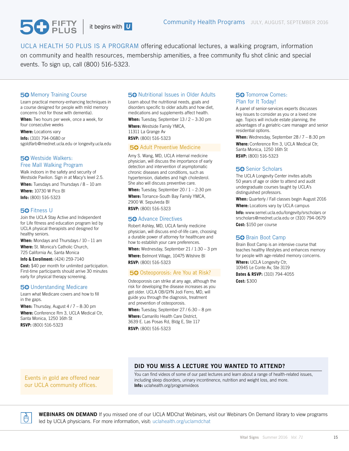UCLA HEALTH 50 PLUS IS A PROGRAM offering educational lectures, a walking program, information on community and health resources, membership amenities, a free community flu shot clinic and special events. To sign up, call (800) 516-5323.

#### **50 Memory Training Course**

 $\mathbf{P}_{\text{PIIIS}}$ 

Learn practical memory-enhancing techniques in a course designed for people with mild memory concerns (not for those with dementia).

**When:** Two hours per week, once a week, for four consecutive weeks

**Where:** Locations vary **Info:** (310) 794-0680 or sgoldfarb@mednet.ucla.edu or longevity.ucla.edu

#### Westside Walkers: Free Mall Walking Program

Walk indoors in the safety and security of Westside Pavilion. Sign in at Macy's level 2.5. **When:** Tuesdays and Thursdays / 8 – 10 am

**Where:** 10730 W Pico Bl **Info:** (800) 516-5323

#### **50 Fitness U**

Join the UCLA Stay Active and Independent for Life fitness and education program led by UCLA physical therapists and designed for healthy seniors.

When: Mondays and Thursdays / 10 - 11 am **Where:** St. Monica's Catholic Church, 725 California Av, Santa Monica

**Info & Enrollment:** (424) 259-7140

**Cost:** \$40 per month for unlimited participation. First-time participants should arrive 30 minutes early for physical therapy screening.

#### **50 Understanding Medicare**

Learn what Medicare covers and how to fill in the gaps.

**When:** Thursday, August 4 / 7 – 8:30 pm **Where:** Conference Rm 3, UCLA Medical Ctr, Santa Monica, 1250 16th St **RSVP:** (800) 516-5323

#### 50 Nutritional Issues in Older Adults

Learn about the nutritional needs, goals and disorders specific to older adults and how diet, medications and supplements affect health.

When: Tuesday, September 13 / 2 - 3:30 pm **Where:** Westside Family YMCA, 11311 La Grange Av **RSVP:** (800) 516-5323

#### 50 Adult Preventive Medicine

Amy S. Wang, MD, UCLA internal medicine physician, will discuss the importance of early detection and intervention of asymptomatic chronic diseases and conditions, such as hypertension, diabetes and high cholesterol. She also will discuss preventive care.

When: Tuesday, September 20 / 1 – 2:30 pm **Where:** Torrance-South Bay Family YMCA,

2900 W. Sepulveda Bl **RSVP:** (800) 516-5323

#### **50** Advance Directives

Robert Ashley, MD, UCLA family medicine physician, will discuss end-of-life care, choosing a durable power of attorney for healthcare and how to establish your care preferences.

**When:** Wednesday, September 21 / 1:30 – 3 pm **Where:** Belmont Village, 10475 Wilshire Bl

**RSVP:** (800) 516-5323

#### 50 Osteoporosis: Are You at Risk?

Osteoporosis can strike at any age, although the risk for developing the disease increases as you get older. UCLA OB/GYN Jodi Ferro, MD, will guide you through the diagnosis, treatment and prevention of osteoporosis.

**When:** Tuesday, September 27 / 6:30 – 8 pm

**Where:** Camarillo Health Care District, 3639 E. Las Posas Rd, Bldg E, Ste 117 **RSVP:** (800) 516-5323

#### **50 Tomorrow Comes:** Plan for It Today!

A panel of senior-services experts discusses key issues to consider as you or a loved one age. Topics will include estate planning, the advantages of a geriatric-care manager and senior residential options.

**When:** Wednesday, September 28 / 7 – 8:30 pm **Where:** Conference Rm 3, UCLA Medical Ctr, Santa Monica, 1250 16th St **RSVP:** (800) 516-5323

#### 50 Senior Scholars

The UCLA Longevity Center invites adults 50 years of age or older to attend and audit undergraduate courses taught by UCLA's distinguished professors.

**When:** Quarterly / Fall classes begin August 2016 **Where:** Locations vary by UCLA campus **Info:** www.semel.ucla.edu/longevity/srscholars or srscholars@mednet.ucla.edu or (310) 794-0679 **Cost:** \$150 per course

#### 50 Brain Boot Camp

Brain Boot Camp is an intensive course that teaches healthy lifestyles and enhances memory for people with age-related memory concerns.

**Where:** UCLA Longevity Ctr, 10945 Le Conte Av, Ste 3119

**Dates & RSVP:** (310) 794-4055 **Cost:** \$300

#### Events in gold are offered near our UCLA community offices.

#### **DID YOU MISS A LECTURE YOU WANTED TO ATTEND?**

You can find videos of some of our past lectures and learn about a range of health-related issues, including sleep disorders, urinary incontinence, nutrition and weight loss, and more. **Info:** uclahealth.org/programvideos



**WEBINARS ON DEMAND** If you missed one of our UCLA MDChat Webinars, visit our Webinars On Demand library to view programs led by UCLA physicians. For more information, visit: uclahealth.org/uclamdchat